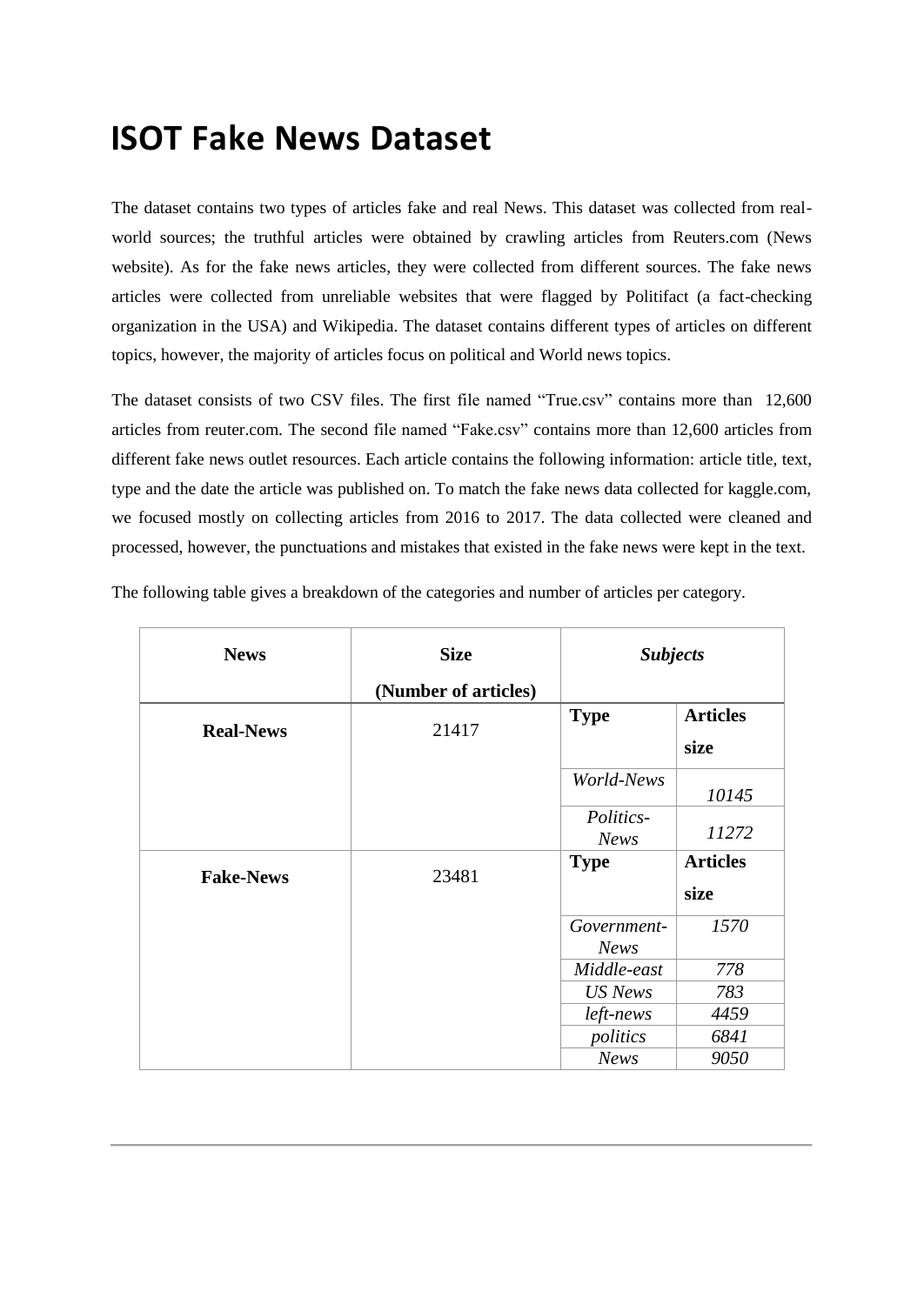## **ISOT Fake News Dataset**

The dataset contains two types of articles fake and real News. This dataset was collected from realworld sources; the truthful articles were obtained by crawling articles from Reuters.com (News website). As for the fake news articles, they were collected from different sources. The fake news articles were collected from unreliable websites that were flagged by Politifact (a fact-checking organization in the USA) and Wikipedia. The dataset contains different types of articles on different topics, however, the majority of articles focus on political and World news topics.

The dataset consists of two CSV files. The first file named "True.csv" contains more than 12,600 articles from reuter.com. The second file named "Fake.csv" contains more than 12,600 articles from different fake news outlet resources. Each article contains the following information: article title, text, type and the date the article was published on. To match the fake news data collected for kaggle.com, we focused mostly on collecting articles from 2016 to 2017. The data collected were cleaned and processed, however, the punctuations and mistakes that existed in the fake news were kept in the text.

| <b>News</b>      | <b>Size</b>          | <b>Subjects</b>            |                         |
|------------------|----------------------|----------------------------|-------------------------|
|                  | (Number of articles) |                            |                         |
| <b>Real-News</b> | 21417                | <b>Type</b>                | <b>Articles</b><br>size |
|                  |                      | World-News                 | 10145                   |
|                  |                      | Politics-<br><b>News</b>   | 11272                   |
| <b>Fake-News</b> | 23481                | <b>Type</b>                | <b>Articles</b><br>size |
|                  |                      | Government-<br><b>News</b> | 1570                    |
|                  |                      | Middle-east                | 778                     |
|                  |                      | US News                    | 783                     |
|                  |                      | left-news                  | 4459                    |
|                  |                      | politics                   | 6841                    |
|                  |                      | <b>News</b>                | 9050                    |

The following table gives a breakdown of the categories and number of articles per category.